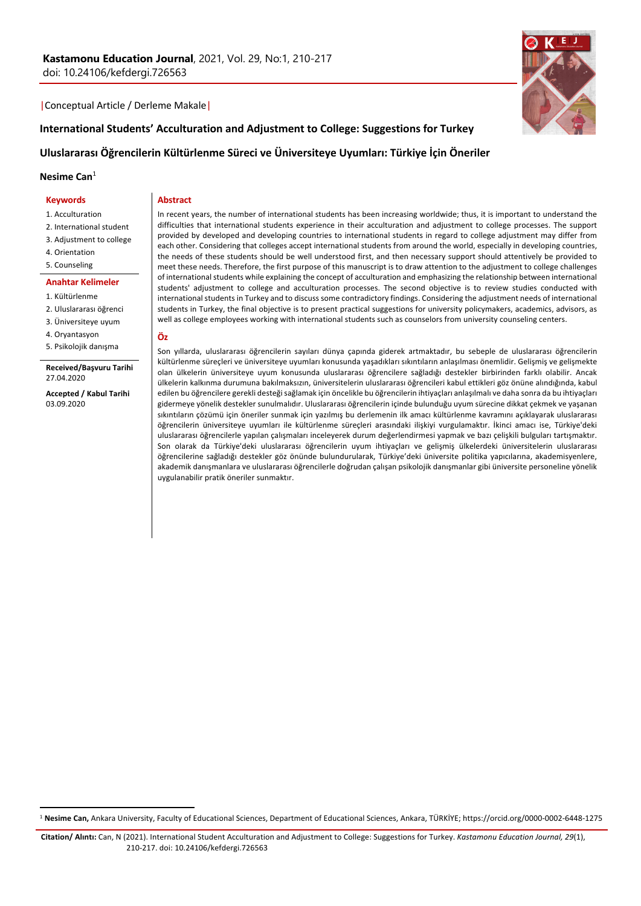### |Conceptual Article / Derleme Makale|

# **International Students' Acculturation and Adjustment to College: Suggestions for Turkey**

# **Uluslararası Öğrencilerin Kültürlenme Süreci ve Üniversiteye Uyumları: Türkiye İçin Öneriler**

**Nesime Can**<sup>1</sup>

### **Keywords**

1. Acculturation

- 2. International student
- 3. Adjustment to college
- 4. Orientation
- 5. Counseling

#### **Anahtar Kelimeler**

- 1. Kültürlenme
- 2. Uluslararası öğrenci
- 3. Üniversiteye uyum
- 4. Oryantasyon
- 5. Psikolojik danışma

### **Received/Başvuru Tarihi** 27.04.2020

**Accepted / Kabul Tarihi** 03.09.2020

In recent years, the number of international students has been increasing worldwide; thus, it is important to understand the difficulties that international students experience in their acculturation and adjustment to college processes. The support provided by developed and developing countries to international students in regard to college adjustment may differ from each other. Considering that colleges accept international students from around the world, especially in developing countries, the needs of these students should be well understood first, and then necessary support should attentively be provided to meet these needs. Therefore, the first purpose of this manuscript is to draw attention to the adjustment to college challenges of international students while explaining the concept of acculturation and emphasizing the relationship between international students' adjustment to college and acculturation processes. The second objective is to review studies conducted with international students in Turkey and to discuss some contradictory findings. Considering the adjustment needs of international students in Turkey, the final objective is to present practical suggestions for university policymakers, academics, advisors, as well as college employees working with international students such as counselors from university counseling centers.

### **Öz**

**Abstract**

Son yıllarda, uluslararası öğrencilerin sayıları dünya çapında giderek artmaktadır, bu sebeple de uluslararası öğrencilerin kültürlenme süreçleri ve üniversiteye uyumları konusunda yaşadıkları sıkıntıların anlaşılması önemlidir. Gelişmiş ve gelişmekte olan ülkelerin üniversiteye uyum konusunda uluslararası öğrencilere sağladığı destekler birbirinden farklı olabilir. Ancak ülkelerin kalkınma durumuna bakılmaksızın, üniversitelerin uluslararası öğrencileri kabul ettikleri göz önüne alındığında, kabul edilen bu öğrencilere gerekli desteği sağlamak için öncelikle bu öğrencilerin ihtiyaçları anlaşılmalı ve daha sonra da bu ihtiyaçları gidermeye yönelik destekler sunulmalıdır. Uluslararası öğrencilerin içinde bulunduğu uyum sürecine dikkat çekmek ve yaşanan sıkıntıların çözümü için öneriler sunmak için yazılmış bu derlemenin ilk amacı kültürlenme kavramını açıklayarak uluslararası öğrencilerin üniversiteye uyumları ile kültürlenme süreçleri arasındaki ilişkiyi vurgulamaktır. İkinci amacı ise, Türkiye'deki uluslararası öğrencilerle yapılan çalışmaları inceleyerek durum değerlendirmesi yapmak ve bazı çelişkili bulguları tartışmaktır. Son olarak da Türkiye'deki uluslararası öğrencilerin uyum ihtiyaçları ve gelişmiş ülkelerdeki üniversitelerin uluslararası öğrencilerine sağladığı destekler göz önünde bulundurularak, Türkiye'deki üniversite politika yapıcılarına, akademisyenlere, akademik danışmanlara ve uluslararası öğrencilerle doğrudan çalışan psikolojik danışmanlar gibi üniversite personeline yönelik uygulanabilir pratik öneriler sunmaktır.

# <sup>1</sup> **Nesime Can,** Ankara University, Faculty of Educational Sciences, Department of Educational Sciences, Ankara, TÜRKİYE; https://orcid.org/0000-0002-6448-1275

**Citation/ Alıntı:** Can, N (2021). International Student Acculturation and Adjustment to College: Suggestions for Turkey. *Kastamonu Education Journal, 29*(1), 210-217. doi: 10.24106/kefdergi.726563

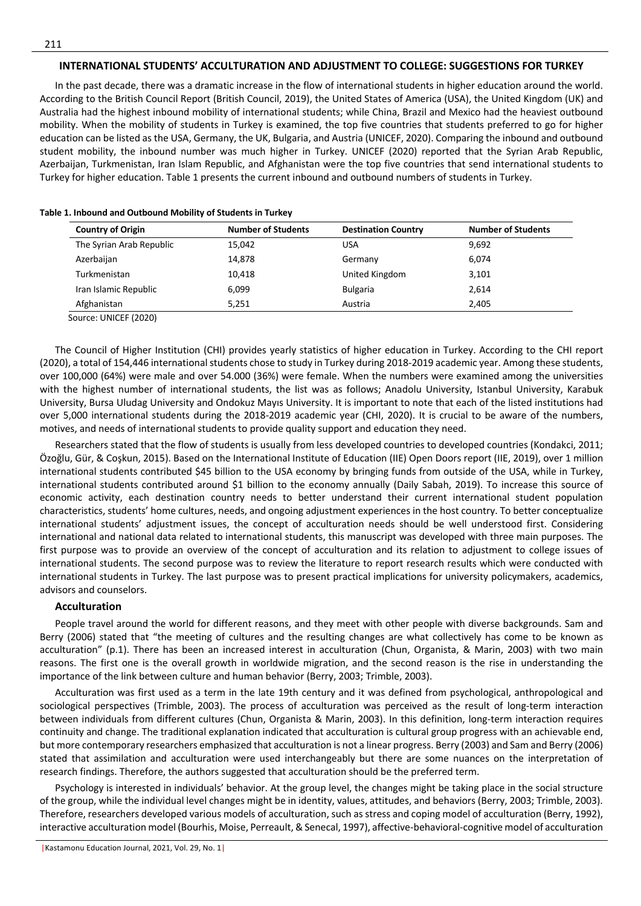## **INTERNATIONAL STUDENTS' ACCULTURATION AND ADJUSTMENT TO COLLEGE: SUGGESTIONS FOR TURKEY**

In the past decade, there was a dramatic increase in the flow of international students in higher education around the world. According to the British Council Report (British Council, 2019), the United States of America (USA), the United Kingdom (UK) and Australia had the highest inbound mobility of international students; while China, Brazil and Mexico had the heaviest outbound mobility. When the mobility of students in Turkey is examined, the top five countries that students preferred to go for higher education can be listed as the USA, Germany, the UK, Bulgaria, and Austria (UNICEF, 2020). Comparing the inbound and outbound student mobility, the inbound number was much higher in Turkey. UNICEF (2020) reported that the Syrian Arab Republic, Azerbaijan, Turkmenistan, Iran Islam Republic, and Afghanistan were the top five countries that send international students to Turkey for higher education. Table 1 presents the current inbound and outbound numbers of students in Turkey.

| <b>Country of Origin</b> | <b>Number of Students</b> | <b>Destination Country</b> | <b>Number of Students</b> |
|--------------------------|---------------------------|----------------------------|---------------------------|
| The Syrian Arab Republic | 15,042                    | <b>USA</b>                 | 9,692                     |
| Azerbaijan               | 14,878                    | Germany                    | 6.074                     |
| Turkmenistan             | 10,418                    | United Kingdom             | 3,101                     |
| Iran Islamic Republic    | 6,099                     | <b>Bulgaria</b>            | 2,614                     |
| Afghanistan              | 5,251                     | Austria                    | 2,405                     |

### **Table 1. Inbound and Outbound Mobility of Students in Turkey**

The Council of Higher Institution (CHI) provides yearly statistics of higher education in Turkey. According to the CHI report (2020), a total of 154,446 international students chose to study in Turkey during 2018-2019 academic year. Among these students, over 100,000 (64%) were male and over 54.000 (36%) were female. When the numbers were examined among the universities with the highest number of international students, the list was as follows; Anadolu University, Istanbul University, Karabuk University, Bursa Uludag University and Ondokuz Mayıs University. It is important to note that each of the listed institutions had over 5,000 international students during the 2018-2019 academic year (CHI, 2020). It is crucial to be aware of the numbers, motives, and needs of international students to provide quality support and education they need.

Researchers stated that the flow of students is usually from less developed countries to developed countries (Kondakci, 2011; Özoğlu, Gür, & Coşkun, 2015). Based on the International Institute of Education (IIE) Open Doors report (IIE, 2019), over 1 million international students contributed \$45 billion to the USA economy by bringing funds from outside of the USA, while in Turkey, international students contributed around \$1 billion to the economy annually (Daily Sabah, 2019). To increase this source of economic activity, each destination country needs to better understand their current international student population characteristics, students' home cultures, needs, and ongoing adjustment experiences in the host country. To better conceptualize international students' adjustment issues, the concept of acculturation needs should be well understood first. Considering international and national data related to international students, this manuscript was developed with three main purposes. The first purpose was to provide an overview of the concept of acculturation and its relation to adjustment to college issues of international students. The second purpose was to review the literature to report research results which were conducted with international students in Turkey. The last purpose was to present practical implications for university policymakers, academics, advisors and counselors.

### **Acculturation**

People travel around the world for different reasons, and they meet with other people with diverse backgrounds. Sam and Berry (2006) stated that "the meeting of cultures and the resulting changes are what collectively has come to be known as acculturation" (p.1). There has been an increased interest in acculturation (Chun, Organista, & Marin, 2003) with two main reasons. The first one is the overall growth in worldwide migration, and the second reason is the rise in understanding the importance of the link between culture and human behavior (Berry, 2003; Trimble, 2003).

Acculturation was first used as a term in the late 19th century and it was defined from psychological, anthropological and sociological perspectives (Trimble, 2003). The process of acculturation was perceived as the result of long-term interaction between individuals from different cultures (Chun, Organista & Marin, 2003). In this definition, long-term interaction requires continuity and change. The traditional explanation indicated that acculturation is cultural group progress with an achievable end, but more contemporary researchers emphasized that acculturation is not a linear progress. Berry (2003) and Sam and Berry (2006) stated that assimilation and acculturation were used interchangeably but there are some nuances on the interpretation of research findings. Therefore, the authors suggested that acculturation should be the preferred term.

Psychology is interested in individuals' behavior. At the group level, the changes might be taking place in the social structure of the group, while the individual level changes might be in identity, values, attitudes, and behaviors (Berry, 2003; Trimble, 2003). Therefore, researchers developed various models of acculturation, such as stress and coping model of acculturation (Berry, 1992), interactive acculturation model (Bourhis, Moise, Perreault, & Senecal, 1997), affective-behavioral-cognitive model of acculturation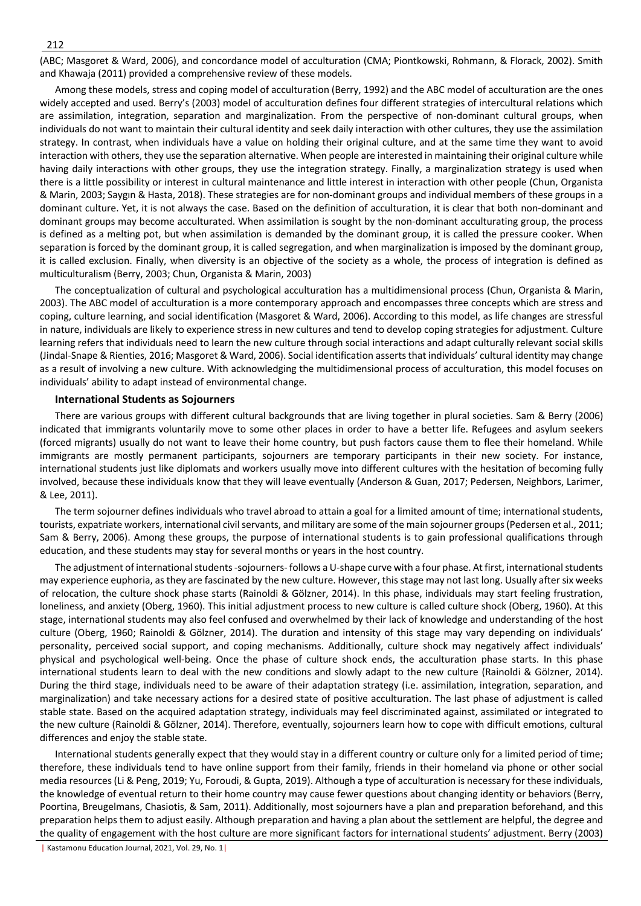(ABC; Masgoret & Ward, 2006), and concordance model of acculturation (CMA; Piontkowski, Rohmann, & Florack, 2002). Smith and Khawaja (2011) provided a comprehensive review of these models.

Among these models, stress and coping model of acculturation (Berry, 1992) and the ABC model of acculturation are the ones widely accepted and used. Berry's (2003) model of acculturation defines four different strategies of intercultural relations which are assimilation, integration, separation and marginalization. From the perspective of non-dominant cultural groups, when individuals do not want to maintain their cultural identity and seek daily interaction with other cultures, they use the assimilation strategy. In contrast, when individuals have a value on holding their original culture, and at the same time they want to avoid interaction with others, they use the separation alternative. When people are interested in maintaining their original culture while having daily interactions with other groups, they use the integration strategy. Finally, a marginalization strategy is used when there is a little possibility or interest in cultural maintenance and little interest in interaction with other people (Chun, Organista & Marin, 2003; Saygın & Hasta, 2018). These strategies are for non-dominant groups and individual members of these groups in a dominant culture. Yet, it is not always the case. Based on the definition of acculturation, it is clear that both non-dominant and dominant groups may become acculturated. When assimilation is sought by the non-dominant acculturating group, the process is defined as a melting pot, but when assimilation is demanded by the dominant group, it is called the pressure cooker. When separation is forced by the dominant group, it is called segregation, and when marginalization is imposed by the dominant group, it is called exclusion. Finally, when diversity is an objective of the society as a whole, the process of integration is defined as multiculturalism (Berry, 2003; Chun, Organista & Marin, 2003)

The conceptualization of cultural and psychological acculturation has a multidimensional process (Chun, Organista & Marin, 2003). The ABC model of acculturation is a more contemporary approach and encompasses three concepts which are stress and coping, culture learning, and social identification (Masgoret & Ward, 2006). According to this model, as life changes are stressful in nature, individuals are likely to experience stress in new cultures and tend to develop coping strategies for adjustment. Culture learning refers that individuals need to learn the new culture through social interactions and adapt culturally relevant social skills (Jindal-Snape & Rienties, 2016; Masgoret & Ward, 2006). Social identification asserts that individuals' cultural identity may change as a result of involving a new culture. With acknowledging the multidimensional process of acculturation, this model focuses on individuals' ability to adapt instead of environmental change.

# **International Students as Sojourners**

There are various groups with different cultural backgrounds that are living together in plural societies. Sam & Berry (2006) indicated that immigrants voluntarily move to some other places in order to have a better life. Refugees and asylum seekers (forced migrants) usually do not want to leave their home country, but push factors cause them to flee their homeland. While immigrants are mostly permanent participants, sojourners are temporary participants in their new society. For instance, international students just like diplomats and workers usually move into different cultures with the hesitation of becoming fully involved, because these individuals know that they will leave eventually (Anderson & Guan, 2017; Pedersen, Neighbors, Larimer, & Lee, 2011).

The term sojourner defines individuals who travel abroad to attain a goal for a limited amount of time; international students, tourists, expatriate workers, international civil servants, and military are some of the main sojourner groups (Pedersen et al., 2011; Sam & Berry, 2006). Among these groups, the purpose of international students is to gain professional qualifications through education, and these students may stay for several months or years in the host country.

The adjustment of international students -sojourners- follows a U-shape curve with a four phase. At first, international students may experience euphoria, as they are fascinated by the new culture. However, this stage may not last long. Usually after six weeks of relocation, the culture shock phase starts (Rainoldi & Gölzner, 2014). In this phase, individuals may start feeling frustration, loneliness, and anxiety (Oberg, 1960). This initial adjustment process to new culture is called culture shock (Oberg, 1960). At this stage, international students may also feel confused and overwhelmed by their lack of knowledge and understanding of the host culture (Oberg, 1960; Rainoldi & Gölzner, 2014). The duration and intensity of this stage may vary depending on individuals' personality, perceived social support, and coping mechanisms. Additionally, culture shock may negatively affect individuals' physical and psychological well-being. Once the phase of culture shock ends, the acculturation phase starts. In this phase international students learn to deal with the new conditions and slowly adapt to the new culture (Rainoldi & Gölzner, 2014). During the third stage, individuals need to be aware of their adaptation strategy (i.e. assimilation, integration, separation, and marginalization) and take necessary actions for a desired state of positive acculturation. The last phase of adjustment is called stable state. Based on the acquired adaptation strategy, individuals may feel discriminated against, assimilated or integrated to the new culture (Rainoldi & Gölzner, 2014). Therefore, eventually, sojourners learn how to cope with difficult emotions, cultural differences and enjoy the stable state.

International students generally expect that they would stay in a different country or culture only for a limited period of time; therefore, these individuals tend to have online support from their family, friends in their homeland via phone or other social media resources (Li & Peng, 2019; Yu, Foroudi, & Gupta, 2019). Although a type of acculturation is necessary for these individuals, the knowledge of eventual return to their home country may cause fewer questions about changing identity or behaviors (Berry, Poortina, Breugelmans, Chasiotis, & Sam, 2011). Additionally, most sojourners have a plan and preparation beforehand, and this preparation helps them to adjust easily. Although preparation and having a plan about the settlement are helpful, the degree and the quality of engagement with the host culture are more significant factors for international students' adjustment. Berry (2003)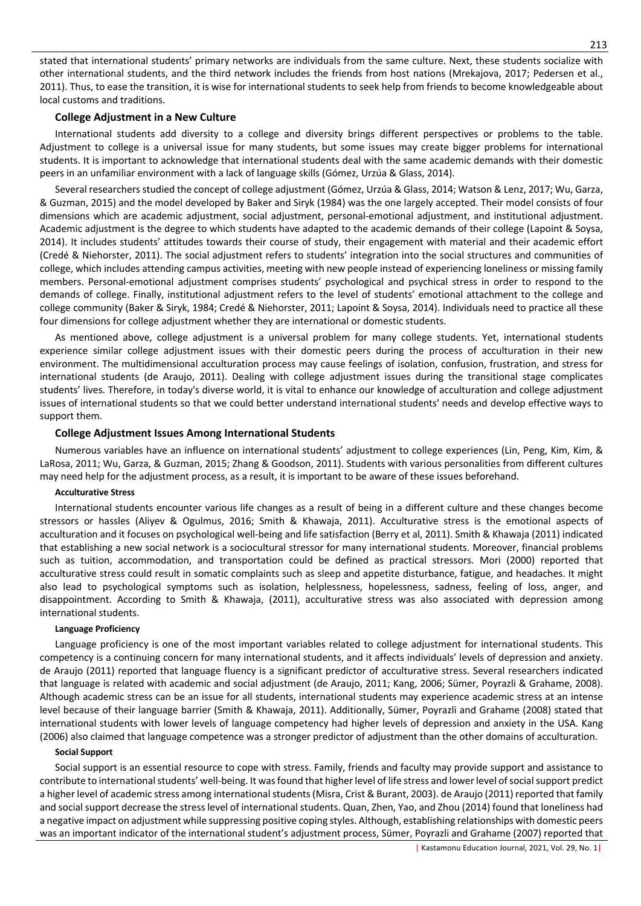stated that international students' primary networks are individuals from the same culture. Next, these students socialize with other international students, and the third network includes the friends from host nations (Mrekajova, 2017; Pedersen et al., 2011). Thus, to ease the transition, it is wise for international students to seek help from friends to become knowledgeable about local customs and traditions.

## **College Adjustment in a New Culture**

International students add diversity to a college and diversity brings different perspectives or problems to the table. Adjustment to college is a universal issue for many students, but some issues may create bigger problems for international students. It is important to acknowledge that international students deal with the same academic demands with their domestic peers in an unfamiliar environment with a lack of language skills (Gómez, Urzúa & Glass, 2014).

Several researchers studied the concept of college adjustment (Gómez, Urzúa & Glass, 2014; Watson & Lenz, 2017; Wu, Garza, & Guzman, 2015) and the model developed by Baker and Siryk (1984) was the one largely accepted. Their model consists of four dimensions which are academic adjustment, social adjustment, personal-emotional adjustment, and institutional adjustment. Academic adjustment is the degree to which students have adapted to the academic demands of their college (Lapoint & Soysa, 2014). It includes students' attitudes towards their course of study, their engagement with material and their academic effort (Credé & Niehorster, 2011). The social adjustment refers to students' integration into the social structures and communities of college, which includes attending campus activities, meeting with new people instead of experiencing loneliness or missing family members. Personal-emotional adjustment comprises students' psychological and psychical stress in order to respond to the demands of college. Finally, institutional adjustment refers to the level of students' emotional attachment to the college and college community (Baker & Siryk, 1984; Credé & Niehorster, 2011; Lapoint & Soysa, 2014). Individuals need to practice all these four dimensions for college adjustment whether they are international or domestic students.

As mentioned above, college adjustment is a universal problem for many college students. Yet, international students experience similar college adjustment issues with their domestic peers during the process of acculturation in their new environment. The multidimensional acculturation process may cause feelings of isolation, confusion, frustration, and stress for international students (de Araujo, 2011). Dealing with college adjustment issues during the transitional stage complicates students' lives. Therefore, in today's diverse world, it is vital to enhance our knowledge of acculturation and college adjustment issues of international students so that we could better understand international students' needs and develop effective ways to support them.

# **College Adjustment Issues Among International Students**

Numerous variables have an influence on international students' adjustment to college experiences (Lin, Peng, Kim, Kim, & LaRosa, 2011; Wu, Garza, & Guzman, 2015; Zhang & Goodson, 2011). Students with various personalities from different cultures may need help for the adjustment process, as a result, it is important to be aware of these issues beforehand.

# **Acculturative Stress**

International students encounter various life changes as a result of being in a different culture and these changes become stressors or hassles (Aliyev & Ogulmus, 2016; Smith & Khawaja, 2011). Acculturative stress is the emotional aspects of acculturation and it focuses on psychological well-being and life satisfaction (Berry et al, 2011). Smith & Khawaja (2011) indicated that establishing a new social network is a sociocultural stressor for many international students. Moreover, financial problems such as tuition, accommodation, and transportation could be defined as practical stressors. Mori (2000) reported that acculturative stress could result in somatic complaints such as sleep and appetite disturbance, fatigue, and headaches. It might also lead to psychological symptoms such as isolation, helplessness, hopelessness, sadness, feeling of loss, anger, and disappointment. According to Smith & Khawaja, (2011), acculturative stress was also associated with depression among international students.

## **Language Proficiency**

Language proficiency is one of the most important variables related to college adjustment for international students. This competency is a continuing concern for many international students, and it affects individuals' levels of depression and anxiety. de Araujo (2011) reported that language fluency is a significant predictor of acculturative stress. Several researchers indicated that language is related with academic and social adjustment (de Araujo, 2011; Kang, 2006; Sümer, Poyrazli & Grahame, 2008). Although academic stress can be an issue for all students, international students may experience academic stress at an intense level because of their language barrier (Smith & Khawaja, 2011). Additionally, Sümer, Poyrazli and Grahame (2008) stated that international students with lower levels of language competency had higher levels of depression and anxiety in the USA. Kang (2006) also claimed that language competence was a stronger predictor of adjustment than the other domains of acculturation.

### **Social Support**

Social support is an essential resource to cope with stress. Family, friends and faculty may provide support and assistance to contribute to international students' well-being. It was found that higher level of life stress and lower level of social support predict a higher level of academic stress among international students (Misra, Crist & Burant, 2003). de Araujo (2011) reported that family and social support decrease the stress level of international students. Quan, Zhen, Yao, and Zhou (2014) found that loneliness had a negative impact on adjustment while suppressing positive coping styles. Although, establishing relationships with domestic peers was an important indicator of the international student's adjustment process, Sümer, Poyrazli and Grahame (2007) reported that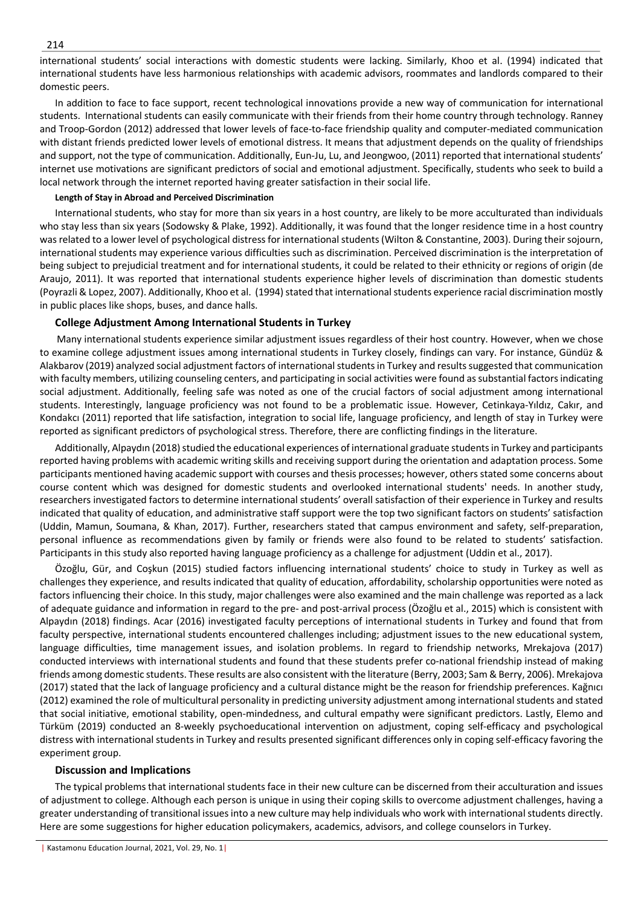international students' social interactions with domestic students were lacking. Similarly, Khoo et al. (1994) indicated that international students have less harmonious relationships with academic advisors, roommates and landlords compared to their domestic peers.

In addition to face to face support, recent technological innovations provide a new way of communication for international students. International students can easily communicate with their friends from their home country through technology. Ranney and Troop-Gordon (2012) addressed that lower levels of face-to-face friendship quality and computer-mediated communication with distant friends predicted lower levels of emotional distress. It means that adjustment depends on the quality of friendships and support, not the type of communication. Additionally, Eun-Ju, Lu, and Jeongwoo, (2011) reported that international students' internet use motivations are significant predictors of social and emotional adjustment. Specifically, students who seek to build a local network through the internet reported having greater satisfaction in their social life.

## **Length of Stay in Abroad and Perceived Discrimination**

International students, who stay for more than six years in a host country, are likely to be more acculturated than individuals who stay less than six years (Sodowsky & Plake, 1992). Additionally, it was found that the longer residence time in a host country was related to a lower level of psychological distress for international students (Wilton & Constantine, 2003). During their sojourn, international students may experience various difficulties such as discrimination. Perceived discrimination is the interpretation of being subject to prejudicial treatment and for international students, it could be related to their ethnicity or regions of origin (de Araujo, 2011). It was reported that international students experience higher levels of discrimination than domestic students (Poyrazli & Lopez, 2007). Additionally, Khoo et al. (1994) stated that international students experience racial discrimination mostly in public places like shops, buses, and dance halls.

# **College Adjustment Among International Students in Turkey**

 Many international students experience similar adjustment issues regardless of their host country. However, when we chose to examine college adjustment issues among international students in Turkey closely, findings can vary. For instance, Gündüz & Alakbarov (2019) analyzed social adjustment factors of international students in Turkey and results suggested that communication with faculty members, utilizing counseling centers, and participating in social activities were found as substantial factors indicating social adjustment. Additionally, feeling safe was noted as one of the crucial factors of social adjustment among international students. Interestingly, language proficiency was not found to be a problematic issue. However, Cetinkaya-Yıldız, Cakır, and Kondakcı (2011) reported that life satisfaction, integration to social life, language proficiency, and length of stay in Turkey were reported as significant predictors of psychological stress. Therefore, there are conflicting findings in the literature.

Additionally, Alpaydın (2018) studied the educational experiences of international graduate students in Turkey and participants reported having problems with academic writing skills and receiving support during the orientation and adaptation process. Some participants mentioned having academic support with courses and thesis processes; however, others stated some concerns about course content which was designed for domestic students and overlooked international students' needs. In another study, researchers investigated factors to determine international students' overall satisfaction of their experience in Turkey and results indicated that quality of education, and administrative staff support were the top two significant factors on students' satisfaction (Uddin, Mamun, Soumana, & Khan, 2017). Further, researchers stated that campus environment and safety, self-preparation, personal influence as recommendations given by family or friends were also found to be related to students' satisfaction. Participants in this study also reported having language proficiency as a challenge for adjustment (Uddin et al., 2017).

Özoğlu, Gür, and Coşkun (2015) studied factors influencing international students' choice to study in Turkey as well as challenges they experience, and results indicated that quality of education, affordability, scholarship opportunities were noted as factors influencing their choice. In this study, major challenges were also examined and the main challenge was reported as a lack of adequate guidance and information in regard to the pre- and post-arrival process (Özoğlu et al., 2015) which is consistent with Alpaydın (2018) findings. Acar (2016) investigated faculty perceptions of international students in Turkey and found that from faculty perspective, international students encountered challenges including; adjustment issues to the new educational system, language difficulties, time management issues, and isolation problems. In regard to friendship networks, Mrekajova (2017) conducted interviews with international students and found that these students prefer co-national friendship instead of making friends among domestic students. These results are also consistent with the literature (Berry, 2003; Sam & Berry, 2006). Mrekajova (2017) stated that the lack of language proficiency and a cultural distance might be the reason for friendship preferences. Kağnıcı (2012) examined the role of multicultural personality in predicting university adjustment among international students and stated that social initiative, emotional stability, open-mindedness, and cultural empathy were significant predictors. Lastly, Elemo and Türküm (2019) conducted an 8-weekly psychoeducational intervention on adjustment, coping self-efficacy and psychological distress with international students in Turkey and results presented significant differences only in coping self-efficacy favoring the experiment group.

## **Discussion and Implications**

The typical problems that international students face in their new culture can be discerned from their acculturation and issues of adjustment to college. Although each person is unique in using their coping skills to overcome adjustment challenges, having a greater understanding of transitional issues into a new culture may help individuals who work with international students directly. Here are some suggestions for higher education policymakers, academics, advisors, and college counselors in Turkey.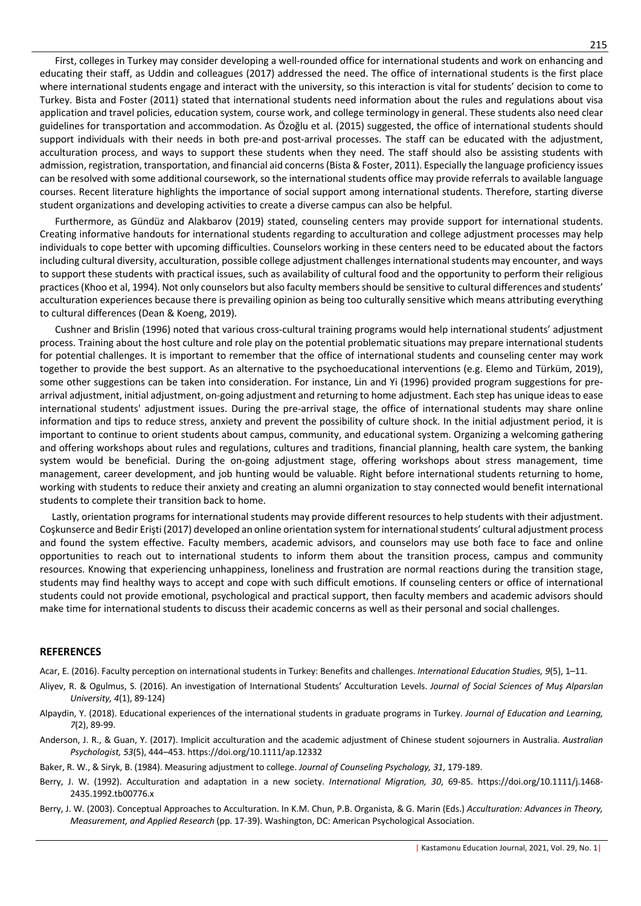First, colleges in Turkey may consider developing a well-rounded office for international students and work on enhancing and educating their staff, as Uddin and colleagues (2017) addressed the need. The office of international students is the first place where international students engage and interact with the university, so this interaction is vital for students' decision to come to Turkey. Bista and Foster (2011) stated that international students need information about the rules and regulations about visa application and travel policies, education system, course work, and college terminology in general. These students also need clear guidelines for transportation and accommodation. As Özoğlu et al. (2015) suggested, the office of international students should support individuals with their needs in both pre-and post-arrival processes. The staff can be educated with the adjustment, acculturation process, and ways to support these students when they need. The staff should also be assisting students with admission, registration, transportation, and financial aid concerns (Bista & Foster, 2011). Especially the language proficiency issues can be resolved with some additional coursework, so the international students office may provide referrals to available language courses. Recent literature highlights the importance of social support among international students. Therefore, starting diverse student organizations and developing activities to create a diverse campus can also be helpful.

Furthermore, as Gündüz and Alakbarov (2019) stated, counseling centers may provide support for international students. Creating informative handouts for international students regarding to acculturation and college adjustment processes may help individuals to cope better with upcoming difficulties. Counselors working in these centers need to be educated about the factors including cultural diversity, acculturation, possible college adjustment challenges international students may encounter, and ways to support these students with practical issues, such as availability of cultural food and the opportunity to perform their religious practices (Khoo et al, 1994). Not only counselors but also faculty members should be sensitive to cultural differences and students' acculturation experiences because there is prevailing opinion as being too culturally sensitive which means attributing everything to cultural differences (Dean & Koeng, 2019).

Cushner and Brislin (1996) noted that various cross-cultural training programs would help international students' adjustment process. Training about the host culture and role play on the potential problematic situations may prepare international students for potential challenges. It is important to remember that the office of international students and counseling center may work together to provide the best support. As an alternative to the psychoeducational interventions (e.g. Elemo and Türküm, 2019), some other suggestions can be taken into consideration. For instance, Lin and Yi (1996) provided program suggestions for prearrival adjustment, initial adjustment, on-going adjustment and returning to home adjustment. Each step has unique ideas to ease international students' adjustment issues. During the pre-arrival stage, the office of international students may share online information and tips to reduce stress, anxiety and prevent the possibility of culture shock. In the initial adjustment period, it is important to continue to orient students about campus, community, and educational system. Organizing a welcoming gathering and offering workshops about rules and regulations, cultures and traditions, financial planning, health care system, the banking system would be beneficial. During the on-going adjustment stage, offering workshops about stress management, time management, career development, and job hunting would be valuable. Right before international students returning to home, working with students to reduce their anxiety and creating an alumni organization to stay connected would benefit international students to complete their transition back to home.

 Lastly, orientation programs for international students may provide different resources to help students with their adjustment. Coşkunserce and Bedir Erişti (2017) developed an online orientation system for international students' cultural adjustment process and found the system effective. Faculty members, academic advisors, and counselors may use both face to face and online opportunities to reach out to international students to inform them about the transition process, campus and community resources. Knowing that experiencing unhappiness, loneliness and frustration are normal reactions during the transition stage, students may find healthy ways to accept and cope with such difficult emotions. If counseling centers or office of international students could not provide emotional, psychological and practical support, then faculty members and academic advisors should make time for international students to discuss their academic concerns as well as their personal and social challenges.

## **REFERENCES**

Acar, E. (2016). Faculty perception on international students in Turkey: Benefits and challenges. *International Education Studies, 9*(5), 1–11.

- Aliyev, R. & Ogulmus, S. (2016). An investigation of International Students' Acculturation Levels. *Journal of Social Sciences of Muş Alparslan University, 4*(1), 89-124)
- Alpaydin, Y. (2018). Educational experiences of the international students in graduate programs in Turkey. *Journal of Education and Learning, 7*(2), 89-99.
- Anderson, J. R., & Guan, Y. (2017). Implicit acculturation and the academic adjustment of Chinese student sojourners in Australia. *Australian Psychologist, 53*(5), 444–453. https://doi.org/10.1111/ap.12332
- Baker, R. W., & Siryk, B. (1984). Measuring adjustment to college. *Journal of Counseling Psychology, 31*, 179-189.
- Berry, J. W. (1992). Acculturation and adaptation in a new society. *International Migration, 30*, 69-85. https://doi.org/10.1111/j.1468- 2435.1992.tb00776.x
- Berry, J. W. (2003). Conceptual Approaches to Acculturation. In K.M. Chun, P.B. Organista, & G. Marin (Eds.) *Acculturation: Advances in Theory, Measurement, and Applied Research* (pp. 17-39). Washington, DC: American Psychological Association.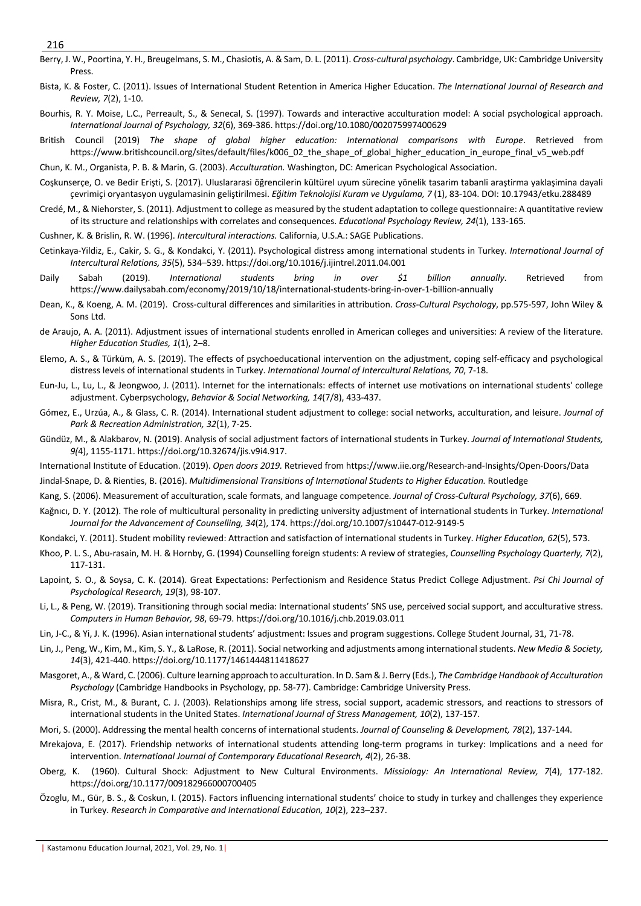- Berry, J. W., Poortina, Y. H., Breugelmans, S. M., Chasiotis, A. & Sam, D. L. (2011). *Cross-cultural psychology*. Cambridge, UK: Cambridge University Press.
- Bista, K. & Foster, C. (2011). Issues of International Student Retention in America Higher Education. *The International Journal of Research and Review, 7*(2), 1-10.
- Bourhis, R. Y. Moise, L.C., Perreault, S., & Senecal, S. (1997). Towards and interactive acculturation model: A social psychological approach. *International Journal of Psychology, 32*(6), 369-386. https://doi.org/10.1080/002075997400629
- British Council (2019) *The shape of global higher education: International comparisons with Europe*. Retrieved from https://www.britishcouncil.org/sites/default/files/k006\_02\_the\_shape\_of\_global\_higher\_education\_in\_europe\_final\_v5\_web.pdf

Chun, K. M., Organista, P. B. & Marin, G. (2003). *Acculturation.* Washington, DC: American Psychological Association.

- Coşkunserçe, O. ve Bedir Erişti, S. (2017). Uluslararasi öğrencilerin kültürel uyum sürecine yönelik tasarim tabanli araştirma yaklaşimina dayali çevrimiçi oryantasyon uygulamasinin geliştirilmesi. *Eğitim Teknolojisi Kuram ve Uygulama, 7* (1), 83-104. DOI: 10.17943/etku.288489
- Credé, M., & Niehorster, S. (2011). Adjustment to college as measured by the student adaptation to college questionnaire: A quantitative review of its structure and relationships with correlates and consequences. *Educational Psychology Review, 24*(1), 133-165.
- Cushner, K. & Brislin, R. W. (1996). *Intercultural interactions.* California, U.S.A.: SAGE Publications.
- Cetinkaya-Yildiz, E., Cakir, S. G., & Kondakci, Y. (2011). Psychological distress among international students in Turkey. *International Journal of Intercultural Relations, 35*(5), 534–539. https://doi.org/10.1016/j.ijintrel.2011.04.001
- Daily Sabah (2019). *International students bring in over \$1 billion annually*. Retrieved from https://www.dailysabah.com/economy/2019/10/18/international-students-bring-in-over-1-billion-annually
- Dean, K., & Koeng, A. M. (2019). Cross-cultural differences and similarities in attribution. *Cross-Cultural Psychology*, pp.575-597, John Wiley & Sons Ltd.
- de Araujo, A. A. (2011). Adjustment issues of international students enrolled in American colleges and universities: A review of the literature. *Higher Education Studies, 1*(1), 2–8.
- Elemo, A. S., & Türküm, A. S. (2019). The effects of psychoeducational intervention on the adjustment, coping self-efficacy and psychological distress levels of international students in Turkey. *International Journal of Intercultural Relations, 70*, 7-18.
- Eun-Ju, L., Lu, L., & Jeongwoo, J. (2011). Internet for the internationals: effects of internet use motivations on international students' college adjustment. Cyberpsychology, *Behavior & Social Networking, 14*(7/8), 433-437.
- Gómez, E., Urzúa, A., & Glass, C. R. (2014). International student adjustment to college: social networks, acculturation, and leisure. *Journal of Park & Recreation Administration, 32*(1), 7-25.
- Gündüz, M., & Alakbarov, N. (2019). Analysis of social adjustment factors of international students in Turkey. *Journal of International Students, 9(*4), 1155-1171. https://doi.org/10.32674/jis.v9i4.917.
- International Institute of Education. (2019). *Open doors 2019.* Retrieved from https://www.iie.org/Research-and-Insights/Open-Doors/Data
- Jindal-Snape, D. & Rienties, B. (2016). *Multidimensional Transitions of International Students to Higher Education.* Routledge
- Kang, S. (2006). Measurement of acculturation, scale formats, and language competence. *Journal of Cross-Cultural Psychology, 37*(6), 669.
- Kağnıcı, D. Y. (2012). The role of multicultural personality in predicting university adjustment of international students in Turkey. *International Journal for the Advancement of Counselling, 34*(2), 174. https://doi.org/10.1007/s10447-012-9149-5
- Kondakci, Y. (2011). Student mobility reviewed: Attraction and satisfaction of international students in Turkey. *Higher Education, 62*(5), 573.
- Khoo, P. L. S., Abu-rasain, M. H. & Hornby, G. (1994) Counselling foreign students: A review of strategies, *Counselling Psychology Quarterly, 7*(2), 117-131.
- Lapoint, S. O., & Soysa, C. K. (2014). Great Expectations: Perfectionism and Residence Status Predict College Adjustment. *Psi Chi Journal of Psychological Research, 19*(3), 98-107.
- Li, L., & Peng, W. (2019). Transitioning through social media: International students' SNS use, perceived social support, and acculturative stress. *Computers in Human Behavior, 98*, 69-79. https://doi.org/10.1016/j.chb.2019.03.011
- Lin, J-C., & Yi, J. K. (1996). Asian international students' adjustment: Issues and program suggestions. College Student Journal, 31, 71-78.
- Lin, J., Peng, W., Kim, M., Kim, S. Y., & LaRose, R. (2011). Social networking and adjustments among international students. *New Media & Society, 14*(3), 421-440. https://doi.org/10.1177/1461444811418627
- Masgoret, A., & Ward, C. (2006). Culture learning approach to acculturation. In D. Sam & J. Berry (Eds.), *The Cambridge Handbook of Acculturation Psychology* (Cambridge Handbooks in Psychology, pp. 58-77). Cambridge: Cambridge University Press.
- Misra, R., Crist, M., & Burant, C. J. (2003). Relationships among life stress, social support, academic stressors, and reactions to stressors of international students in the United States. *International Journal of Stress Management, 10*(2), 137-157.
- Mori, S. (2000). Addressing the mental health concerns of international students. *Journal of Counseling & Development, 78*(2), 137-144.
- Mrekajova, E. (2017). Friendship networks of international students attending long-term programs in turkey: Implications and a need for intervention. *International Journal of Contemporary Educational Research, 4*(2), 26-38.
- Oberg, K. (1960). Cultural Shock: Adjustment to New Cultural Environments. *Missiology: An International Review, 7*(4), 177-182. https://doi.org/10.1177/009182966000700405
- Özoglu, M., Gür, B. S., & Coskun, I. (2015). Factors influencing international students' choice to study in turkey and challenges they experience in Turkey. *Research in Comparative and International Education, 10*(2), 223–237.